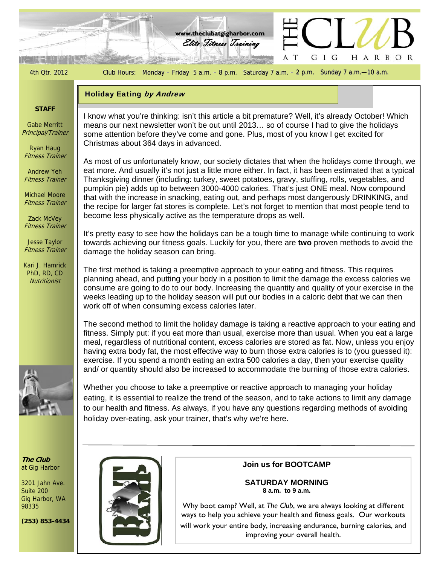

98335

**(253) 853-4434** 

Why boot camp? Well, at *The Club*, we are always looking at different ways to help you achieve your health and fitness goals. Our workouts will work your entire body, increasing endurance, burning calories, and improving your overall health.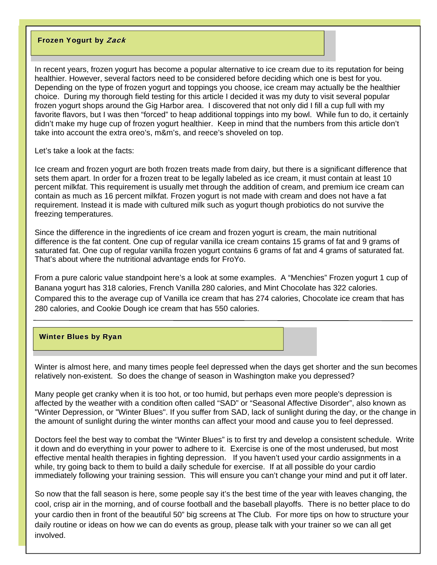### Frozen Yogurt by Zack

In recent years, frozen yogurt has become a popular alternative to ice cream due to its reputation for being healthier. However, several factors need to be considered before deciding which one is best for you. Depending on the type of frozen yogurt and toppings you choose, ice cream may actually be the healthier choice. During my thorough field testing for this article I decided it was my duty to visit several popular frozen yogurt shops around the Gig Harbor area. I discovered that not only did I fill a cup full with my favorite flavors, but I was then "forced" to heap additional toppings into my bowl. While fun to do, it certainly didn't make my huge cup of frozen yogurt healthier. Keep in mind that the numbers from this article don't take into account the extra oreo's, m&m's, and reece's shoveled on top.

Let's take a look at the facts:

Ice cream and frozen yogurt are both frozen treats made from dairy, but there is a significant difference that sets them apart. In order for a frozen treat to be legally labeled as ice cream, it must contain at least 10 percent milkfat. This requirement is usually met through the addition of cream, and premium ice cream can contain as much as 16 percent milkfat. Frozen yogurt is not made with cream and does not have a fat requirement. Instead it is made with cultured milk such as yogurt though probiotics do not survive the freezing temperatures.

Since the difference in the ingredients of ice cream and frozen yogurt is cream, the main nutritional difference is the fat content. One cup of regular vanilla ice cream contains 15 grams of fat and 9 grams of saturated fat. One cup of regular vanilla frozen yogurt contains 6 grams of fat and 4 grams of saturated fat. That's about where the nutritional advantage ends for FroYo.

From a pure caloric value standpoint here's a look at some examples. A "Menchies" Frozen yogurt 1 cup of Banana yogurt has 318 calories, French Vanilla 280 calories, and Mint Chocolate has 322 calories. Compared this to the average cup of Vanilla ice cream that has 274 calories, Chocolate ice cream that has 280 calories, and Cookie Dough ice cream that has 550 calories.

## Winter Blues by Ryan

Winter is almost here, and many times people feel depressed when the days get shorter and the sun becomes relatively non-existent. So does the change of season in Washington make you depressed?

Many people get cranky when it is too hot, or too humid, but perhaps even more people's depression is affected by the weather with a condition often called "SAD" or "Seasonal Affective Disorder", also known as "Winter Depression, or "Winter Blues". If you suffer from SAD, lack of sunlight during the day, or the change in the amount of sunlight during the winter months can affect your mood and cause you to feel depressed.

Doctors feel the best way to combat the "Winter Blues" is to first try and develop a consistent schedule. Write it down and do everything in your power to adhere to it. Exercise is one of the most underused, but most effective mental health therapies in fighting depression. If you haven't used your cardio assignments in a while, try going back to them to build a daily schedule for exercise. If at all possible do your cardio immediately following your training session. This will ensure you can't change your mind and put it off later.

So now that the fall season is here, some people say it's the best time of the year with leaves changing, the cool, crisp air in the morning, and of course football and the baseball playoffs. There is no better place to do your cardio then in front of the beautiful 50" big screens at The Club. For more tips on how to structure your daily routine or ideas on how we can do events as group, please talk with your trainer so we can all get involved.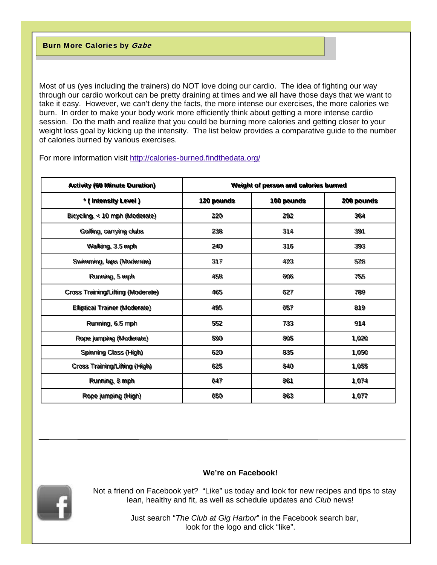Most of us (yes including the trainers) do NOT love doing our cardio. The idea of fighting our way through our cardio workout can be pretty draining at times and we all have those days that we want to take it easy. However, we can't deny the facts, the more intense our exercises, the more calories we burn. In order to make your body work more efficiently think about getting a more intense cardio session. Do the math and realize that you could be burning more calories and getting closer to your weight loss goal by kicking up the intensity. The list below provides a comparative guide to the number of calories burned by various exercises.

| <b>Activity (60 Minute Duration)</b> | Weight of person and calories burned |            |            |
|--------------------------------------|--------------------------------------|------------|------------|
| * (Intensity Level)                  | <b>120 pounds</b>                    | 160 pounds | 200 pounds |
| Bicycling, < 10 mph (Moderate)       | 220                                  | 292        | 364        |
| Golffing, carrying clubs             | 238                                  | 314        | 391        |
| Wallking, 3.5 mph                    | 240                                  | 316        | 393        |
| Swimming, laps (Moderate)            | 317                                  | 423        | 528        |
| Running, 5 mph                       | 458                                  | 606        | 755        |
| Cross Training/Lifting (Moderate)    | 465                                  | 627        | 789        |
| <b>Elliptical Trainer (Moderate)</b> | 495                                  | 657        | 819        |
| Running, 6.5 mph                     | 552                                  | 733        | 914        |
| Rope jumping (Moderate)              | 590                                  | 805        | 1,020      |
| Spinning Class (High)                | 620                                  | 835        | 1,050      |
| Cross Training/Lifting (High)        | 625                                  | 840        | 1,055      |
| Running, 8 mph                       | 647                                  | 861        | 1,074      |
| Rope jumping (High)                  | 650                                  | 863        | 1,077      |

For more information visit<http://calories-burned.findthedata.org/>

## **We're on Facebook!**



 Not a friend on Facebook yet? "Like" us today and look for new recipes and tips to stay lean, healthy and fit, as well as schedule updates and *Club* news!

> Just search "*The Club at Gig Harbor*" in the Facebook search bar, look for the logo and click "like".